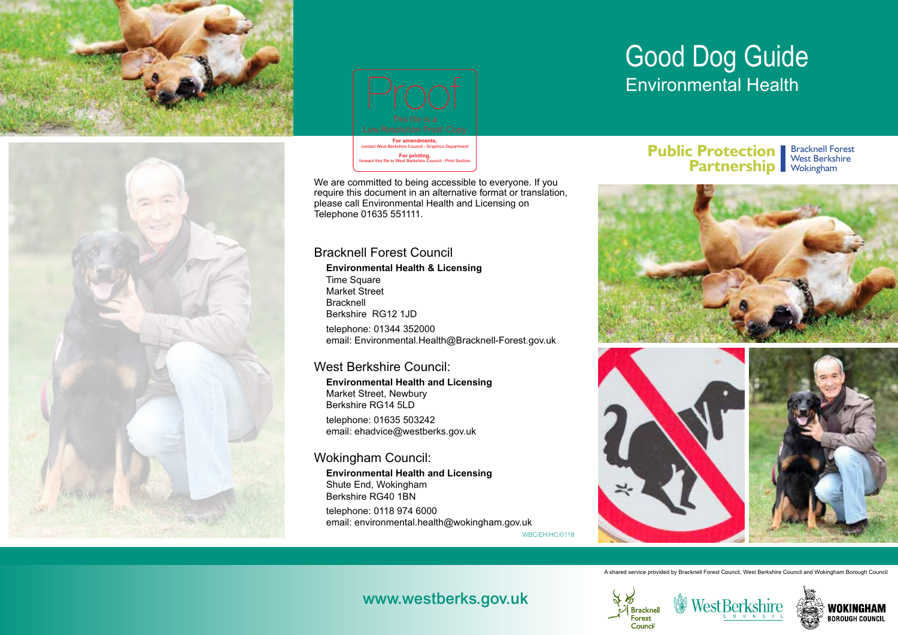





**For printing,** forward this file to West Berkshire Council - Print Section

We are committed to being accessible to everyone. If you require this document in an alternative format or translation, please call Environmental Health and Licensing on Telephone 01635 551111.

#### Bracknell Forest Council

**Environmental Health & Licensing**  Time Square Market Street Bracknell Berkshire RG12 1JD telephone: 01344 352000 email: Environmental.Health@Bracknell-Forest.gov.uk Example The princing and the principal states of the principal states and the principal states and the principal states of the contact the contact Council of the contact Department of the contact Department of the contact

#### West Berkshire Council:

**Environmental Health and Licensing**  Market Street, Newbury Berkshire RG14 5LD telephone: 01635 503242 email: ehadvice@westberks.gov.uk

#### Wokingham Council:

**Environmental Health and Licensing**  Shute End, Wokingham Berkshire RG40 1BN telephone: 0118 974 6000 email: environmental.health@wokingham.gov.uk

#### WBC/EH/HC/0118

## Good Dog Guide Environmental Health

#### **Public Protection Bracknell Forest Partnership Workingham**





A shared service provided by Bracknell Forest Council, West Berkshire Council and Wokingham Borough Council